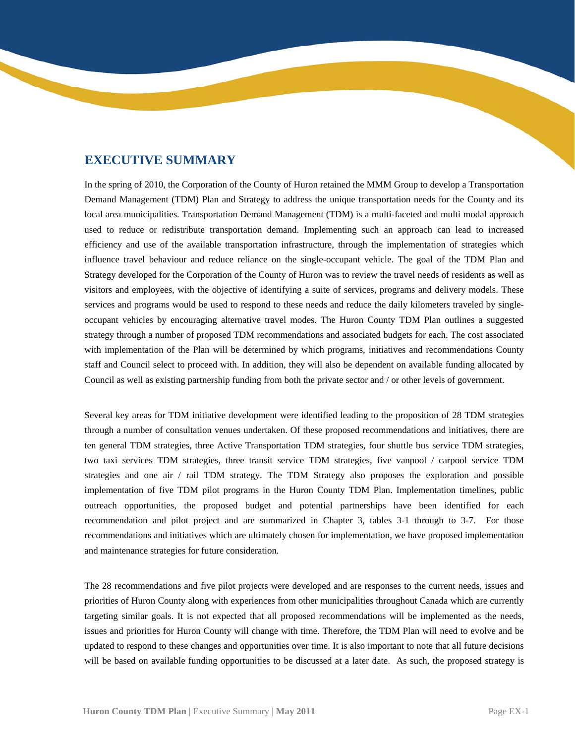## **EXECUTIVE SUMMARY**

 strategy through a number of proposed TDM recommendations and associated budgets for each. The cost associated with implementation of the Plan will be determined by which programs, initiatives and recommendations County Council as well as existing partnership funding from both the private sector and / or other levels of government. In the spring of 2010, the Corporation of the County of Huron retained the MMM Group to develop a Transportation Demand Management (TDM) Plan and Strategy to address the unique transportation needs for the County and its local area municipalities. Transportation Demand Management (TDM) is a multi-faceted and multi modal approach used to reduce or redistribute transportation demand. Implementing such an approach can lead to increased efficiency and use of the available transportation infrastructure, through the implementation of strategies which influence travel behaviour and reduce reliance on the single-occupant vehicle. The goal of the TDM Plan and Strategy developed for the Corporation of the County of Huron was to review the travel needs of residents as well as visitors and employees, with the objective of identifying a suite of services, programs and delivery models. These services and programs would be used to respond to these needs and reduce the daily kilometers traveled by singleoccupant vehicles by encouraging alternative travel modes. The Huron County TDM Plan outlines a suggested staff and Council select to proceed with. In addition, they will also be dependent on available funding allocated by

 Several key areas for TDM initiative development were identified leading to the proposition of 28 TDM strategies through a number of consultation venues undertaken. Of these proposed recommendations and initiatives, there are ten general TDM strategies, three Active Transportation TDM strategies, four shuttle bus service TDM strategies, two taxi services TDM strategies, three transit service TDM strategies, five vanpool / carpool service TDM strategies and one air / rail TDM strategy. The TDM Strategy also proposes the exploration and possible implementation of five TDM pilot programs in the Huron County TDM Plan. Implementation timelines, public outreach opportunities, the proposed budget and potential partnerships have been identified for each recommendation and pilot project and are summarized in Chapter 3, tables 3-1 through to 3-7. For those recommendations and initiatives which are ultimately chosen for implementation, we have proposed implementation and maintenance strategies for future consideration.

 priorities of Huron County along with experiences from other municipalities throughout Canada which are currently targeting similar goals. It is not expected that all proposed recommendations will be implemented as the needs, issues and priorities for Huron County will change with time. Therefore, the TDM Plan will need to evolve and be The 28 recommendations and five pilot projects were developed and are responses to the current needs, issues and updated to respond to these changes and opportunities over time. It is also important to note that all future decisions will be based on available funding opportunities to be discussed at a later date. As such, the proposed strategy is